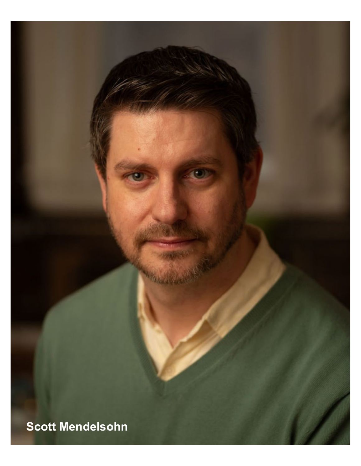**Scott Mendelsohn**